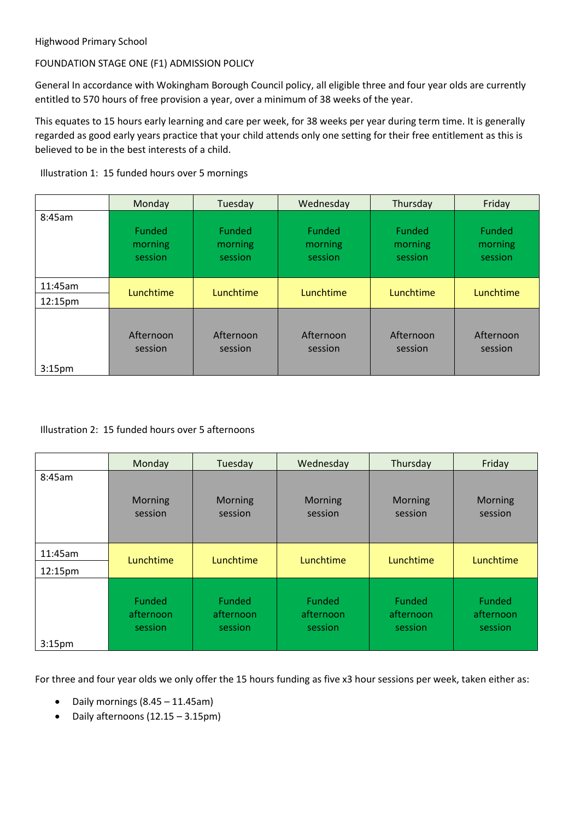# FOUNDATION STAGE ONE (F1) ADMISSION POLICY

General In accordance with Wokingham Borough Council policy, all eligible three and four year olds are currently entitled to 570 hours of free provision a year, over a minimum of 38 weeks of the year.

This equates to 15 hours early learning and care per week, for 38 weeks per year during term time. It is generally regarded as good early years practice that your child attends only one setting for their free entitlement as this is believed to be in the best interests of a child.

Illustration 1: 15 funded hours over 5 mornings

|                    | Monday                              | Tuesday                      | Wednesday                           | Thursday                            | Friday                              |
|--------------------|-------------------------------------|------------------------------|-------------------------------------|-------------------------------------|-------------------------------------|
| 8:45am             | <b>Funded</b><br>morning<br>session | Funded<br>morning<br>session | <b>Funded</b><br>morning<br>session | <b>Funded</b><br>morning<br>session | <b>Funded</b><br>morning<br>session |
| 11:45am<br>12:15pm | Lunchtime                           | Lunchtime                    | Lunchtime                           | Lunchtime                           | Lunchtime                           |
|                    |                                     |                              |                                     |                                     |                                     |
| 3:15 <sub>pm</sub> | Afternoon<br>session                | Afternoon<br>session         | Afternoon<br>session                | Afternoon<br>session                | Afternoon<br>session                |

## Illustration 2: 15 funded hours over 5 afternoons

|                    | Monday                         | Tuesday                        | Wednesday                      | Thursday                       | Friday                         |
|--------------------|--------------------------------|--------------------------------|--------------------------------|--------------------------------|--------------------------------|
| 8:45am             | Morning<br>session             | Morning<br>session             | Morning<br>session             | Morning<br>session             | Morning<br>session             |
| 11:45am            | Lunchtime                      | Lunchtime                      | Lunchtime                      | Lunchtime                      | Lunchtime                      |
| 12:15pm            |                                |                                |                                |                                |                                |
| 3:15 <sub>pm</sub> | Funded<br>afternoon<br>session | Funded<br>afternoon<br>session | Funded<br>afternoon<br>session | Funded<br>afternoon<br>session | Funded<br>afternoon<br>session |

For three and four year olds we only offer the 15 hours funding as five x3 hour sessions per week, taken either as:

- Daily mornings (8.45 11.45am)
- Daily afternoons (12.15 3.15pm)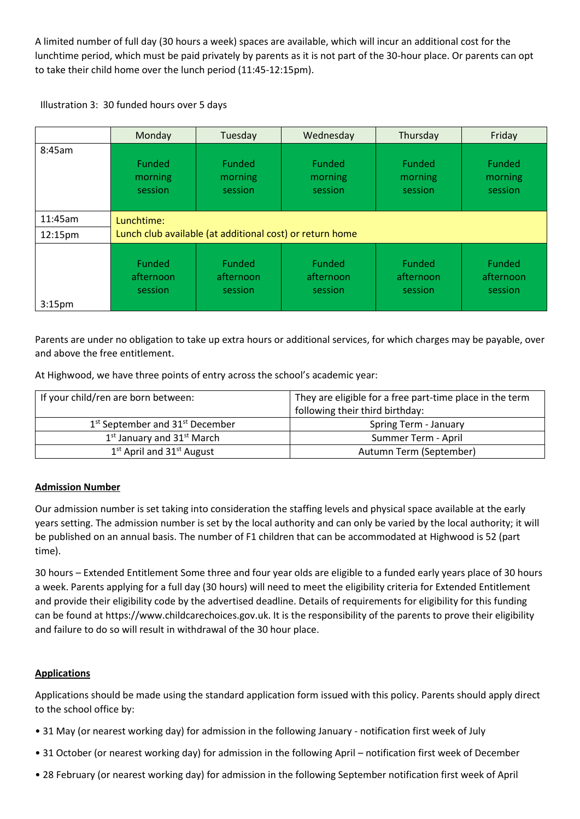A limited number of full day (30 hours a week) spaces are available, which will incur an additional cost for the lunchtime period, which must be paid privately by parents as it is not part of the 30-hour place. Or parents can opt to take their child home over the lunch period (11:45-12:15pm).



|                    | Monday                                                   | Tuesday                             | Wednesday                      | Thursday                            | Friday                                |
|--------------------|----------------------------------------------------------|-------------------------------------|--------------------------------|-------------------------------------|---------------------------------------|
| 8:45am             | Funded<br>morning<br>session                             | <b>Funded</b><br>morning<br>session | Funded<br>morning<br>session   | <b>Funded</b><br>morning<br>session | <b>Funded</b><br>morning<br>session   |
| 11:45am            | Lunchtime:                                               |                                     |                                |                                     |                                       |
| 12:15pm            | Lunch club available (at additional cost) or return home |                                     |                                |                                     |                                       |
| 3:15 <sub>pm</sub> | Funded<br>afternoon<br>session                           | Funded<br>afternoon<br>session      | Funded<br>afternoon<br>session | Funded<br>afternoon<br>session      | <b>Funded</b><br>afternoon<br>session |

Parents are under no obligation to take up extra hours or additional services, for which charges may be payable, over and above the free entitlement.

At Highwood, we have three points of entry across the school's academic year:

| If your child/ren are born between:                     | They are eligible for a free part-time place in the term |  |
|---------------------------------------------------------|----------------------------------------------------------|--|
|                                                         | following their third birthday:                          |  |
| 1 <sup>st</sup> September and 31 <sup>st</sup> December | Spring Term - January                                    |  |
| $1st$ January and $31st$ March                          | Summer Term - April                                      |  |
| $1st$ April and $31st$ August                           | Autumn Term (September)                                  |  |

## **Admission Number**

Our admission number is set taking into consideration the staffing levels and physical space available at the early years setting. The admission number is set by the local authority and can only be varied by the local authority; it will be published on an annual basis. The number of F1 children that can be accommodated at Highwood is 52 (part time).

30 hours – Extended Entitlement Some three and four year olds are eligible to a funded early years place of 30 hours a week. Parents applying for a full day (30 hours) will need to meet the eligibility criteria for Extended Entitlement and provide their eligibility code by the advertised deadline. Details of requirements for eligibility for this funding can be found at https://www.childcarechoices.gov.uk. It is the responsibility of the parents to prove their eligibility and failure to do so will result in withdrawal of the 30 hour place.

# **Applications**

Applications should be made using the standard application form issued with this policy. Parents should apply direct to the school office by:

- 31 May (or nearest working day) for admission in the following January notification first week of July
- 31 October (or nearest working day) for admission in the following April notification first week of December
- 28 February (or nearest working day) for admission in the following September notification first week of April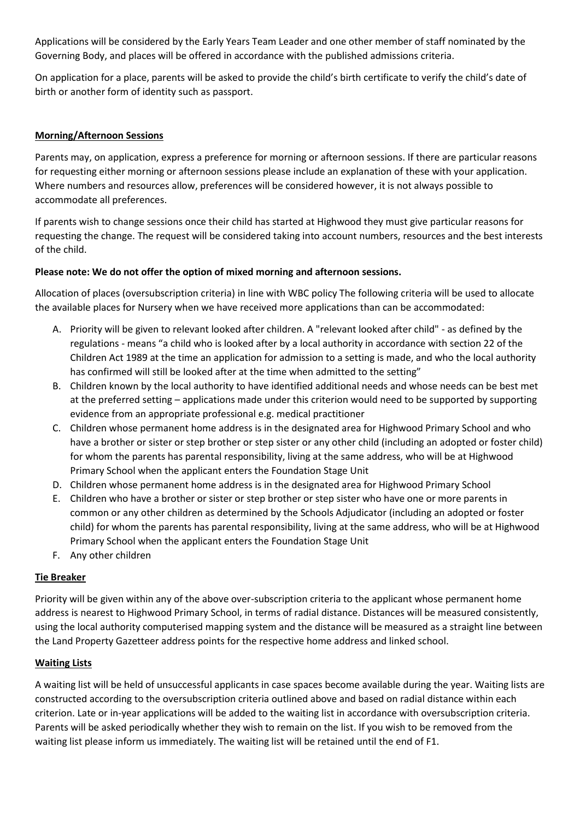Applications will be considered by the Early Years Team Leader and one other member of staff nominated by the Governing Body, and places will be offered in accordance with the published admissions criteria.

On application for a place, parents will be asked to provide the child's birth certificate to verify the child's date of birth or another form of identity such as passport.

# **Morning/Afternoon Sessions**

Parents may, on application, express a preference for morning or afternoon sessions. If there are particular reasons for requesting either morning or afternoon sessions please include an explanation of these with your application. Where numbers and resources allow, preferences will be considered however, it is not always possible to accommodate all preferences.

If parents wish to change sessions once their child has started at Highwood they must give particular reasons for requesting the change. The request will be considered taking into account numbers, resources and the best interests of the child.

## **Please note: We do not offer the option of mixed morning and afternoon sessions.**

Allocation of places (oversubscription criteria) in line with WBC policy The following criteria will be used to allocate the available places for Nursery when we have received more applications than can be accommodated:

- A. Priority will be given to relevant looked after children. A "relevant looked after child" as defined by the regulations - means "a child who is looked after by a local authority in accordance with section 22 of the Children Act 1989 at the time an application for admission to a setting is made, and who the local authority has confirmed will still be looked after at the time when admitted to the setting"
- B. Children known by the local authority to have identified additional needs and whose needs can be best met at the preferred setting – applications made under this criterion would need to be supported by supporting evidence from an appropriate professional e.g. medical practitioner
- C. Children whose permanent home address is in the designated area for Highwood Primary School and who have a brother or sister or step brother or step sister or any other child (including an adopted or foster child) for whom the parents has parental responsibility, living at the same address, who will be at Highwood Primary School when the applicant enters the Foundation Stage Unit
- D. Children whose permanent home address is in the designated area for Highwood Primary School
- E. Children who have a brother or sister or step brother or step sister who have one or more parents in common or any other children as determined by the Schools Adjudicator (including an adopted or foster child) for whom the parents has parental responsibility, living at the same address, who will be at Highwood Primary School when the applicant enters the Foundation Stage Unit
- F. Any other children

## **Tie Breaker**

Priority will be given within any of the above over-subscription criteria to the applicant whose permanent home address is nearest to Highwood Primary School, in terms of radial distance. Distances will be measured consistently, using the local authority computerised mapping system and the distance will be measured as a straight line between the Land Property Gazetteer address points for the respective home address and linked school.

## **Waiting Lists**

A waiting list will be held of unsuccessful applicants in case spaces become available during the year. Waiting lists are constructed according to the oversubscription criteria outlined above and based on radial distance within each criterion. Late or in-year applications will be added to the waiting list in accordance with oversubscription criteria. Parents will be asked periodically whether they wish to remain on the list. If you wish to be removed from the waiting list please inform us immediately. The waiting list will be retained until the end of F1.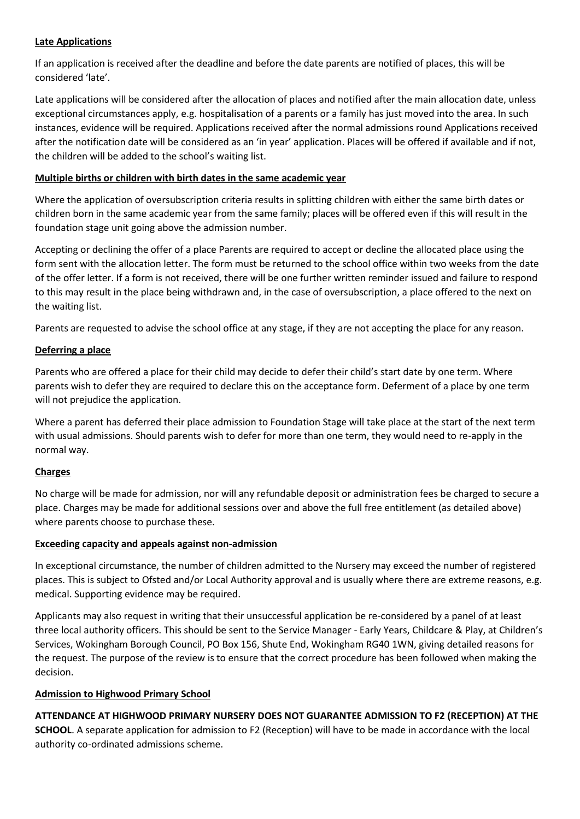### **Late Applications**

If an application is received after the deadline and before the date parents are notified of places, this will be considered 'late'.

Late applications will be considered after the allocation of places and notified after the main allocation date, unless exceptional circumstances apply, e.g. hospitalisation of a parents or a family has just moved into the area. In such instances, evidence will be required. Applications received after the normal admissions round Applications received after the notification date will be considered as an 'in year' application. Places will be offered if available and if not, the children will be added to the school's waiting list.

### **Multiple births or children with birth dates in the same academic year**

Where the application of oversubscription criteria results in splitting children with either the same birth dates or children born in the same academic year from the same family; places will be offered even if this will result in the foundation stage unit going above the admission number.

Accepting or declining the offer of a place Parents are required to accept or decline the allocated place using the form sent with the allocation letter. The form must be returned to the school office within two weeks from the date of the offer letter. If a form is not received, there will be one further written reminder issued and failure to respond to this may result in the place being withdrawn and, in the case of oversubscription, a place offered to the next on the waiting list.

Parents are requested to advise the school office at any stage, if they are not accepting the place for any reason.

### **Deferring a place**

Parents who are offered a place for their child may decide to defer their child's start date by one term. Where parents wish to defer they are required to declare this on the acceptance form. Deferment of a place by one term will not prejudice the application.

Where a parent has deferred their place admission to Foundation Stage will take place at the start of the next term with usual admissions. Should parents wish to defer for more than one term, they would need to re-apply in the normal way.

## **Charges**

No charge will be made for admission, nor will any refundable deposit or administration fees be charged to secure a place. Charges may be made for additional sessions over and above the full free entitlement (as detailed above) where parents choose to purchase these.

#### **Exceeding capacity and appeals against non-admission**

In exceptional circumstance, the number of children admitted to the Nursery may exceed the number of registered places. This is subject to Ofsted and/or Local Authority approval and is usually where there are extreme reasons, e.g. medical. Supporting evidence may be required.

Applicants may also request in writing that their unsuccessful application be re-considered by a panel of at least three local authority officers. This should be sent to the Service Manager - Early Years, Childcare & Play, at Children's Services, Wokingham Borough Council, PO Box 156, Shute End, Wokingham RG40 1WN, giving detailed reasons for the request. The purpose of the review is to ensure that the correct procedure has been followed when making the decision.

## **Admission to Highwood Primary School**

**ATTENDANCE AT HIGHWOOD PRIMARY NURSERY DOES NOT GUARANTEE ADMISSION TO F2 (RECEPTION) AT THE SCHOOL**. A separate application for admission to F2 (Reception) will have to be made in accordance with the local authority co-ordinated admissions scheme.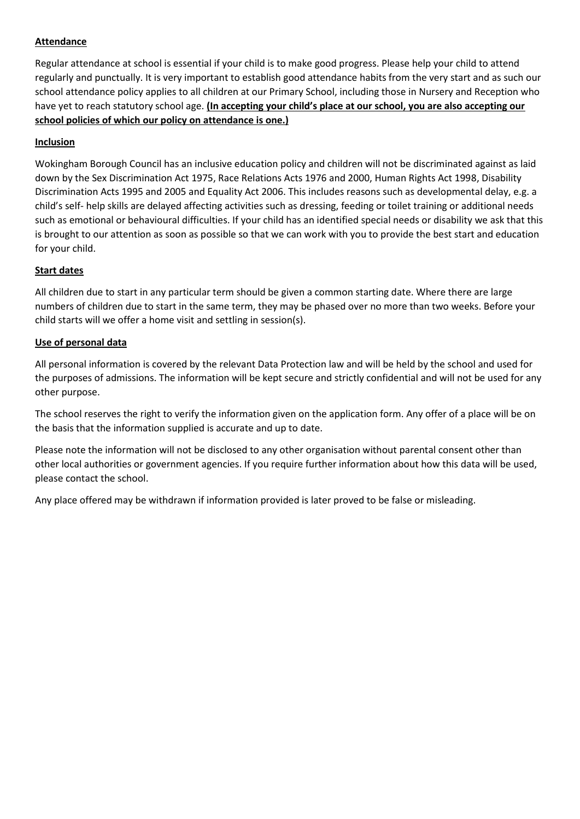## **Attendance**

Regular attendance at school is essential if your child is to make good progress. Please help your child to attend regularly and punctually. It is very important to establish good attendance habits from the very start and as such our school attendance policy applies to all children at our Primary School, including those in Nursery and Reception who have yet to reach statutory school age. **(In accepting your child's place at our school, you are also accepting our school policies of which our policy on attendance is one.)**

## **Inclusion**

Wokingham Borough Council has an inclusive education policy and children will not be discriminated against as laid down by the Sex Discrimination Act 1975, Race Relations Acts 1976 and 2000, Human Rights Act 1998, Disability Discrimination Acts 1995 and 2005 and Equality Act 2006. This includes reasons such as developmental delay, e.g. a child's self- help skills are delayed affecting activities such as dressing, feeding or toilet training or additional needs such as emotional or behavioural difficulties. If your child has an identified special needs or disability we ask that this is brought to our attention as soon as possible so that we can work with you to provide the best start and education for your child.

# **Start dates**

All children due to start in any particular term should be given a common starting date. Where there are large numbers of children due to start in the same term, they may be phased over no more than two weeks. Before your child starts will we offer a home visit and settling in session(s).

## **Use of personal data**

All personal information is covered by the relevant Data Protection law and will be held by the school and used for the purposes of admissions. The information will be kept secure and strictly confidential and will not be used for any other purpose.

The school reserves the right to verify the information given on the application form. Any offer of a place will be on the basis that the information supplied is accurate and up to date.

Please note the information will not be disclosed to any other organisation without parental consent other than other local authorities or government agencies. If you require further information about how this data will be used, please contact the school.

Any place offered may be withdrawn if information provided is later proved to be false or misleading.